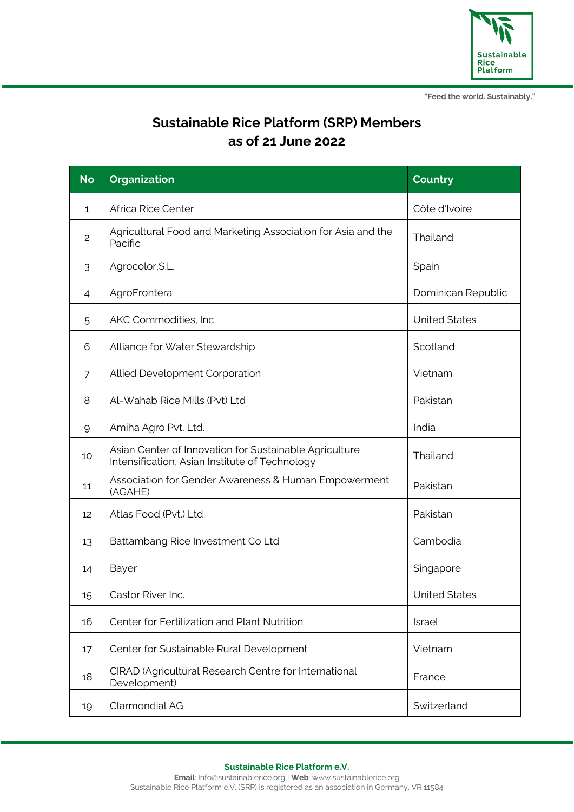

# **Sustainable Rice Platform (SRP) Members as of 21 June 2022**

| <b>No</b>      | <b>Organization</b>                                                                                      | <b>Country</b>       |
|----------------|----------------------------------------------------------------------------------------------------------|----------------------|
| 1              | Africa Rice Center                                                                                       | Côte d'Ivoire        |
| $\overline{c}$ | Agricultural Food and Marketing Association for Asia and the<br>Pacific                                  | Thailand             |
| 3              | Agrocolor, S.L.                                                                                          | Spain                |
| 4              | AgroFrontera                                                                                             | Dominican Republic   |
| 5              | AKC Commodities, Inc                                                                                     | <b>United States</b> |
| 6              | Alliance for Water Stewardship                                                                           | Scotland             |
| 7              | Allied Development Corporation                                                                           | Vietnam              |
| 8              | Al-Wahab Rice Mills (Pvt) Ltd                                                                            | Pakistan             |
| 9              | Amiha Agro Pvt. Ltd.                                                                                     | India                |
| 10             | Asian Center of Innovation for Sustainable Agriculture<br>Intensification, Asian Institute of Technology | Thailand             |
| 11             | Association for Gender Awareness & Human Empowerment<br>(AGAHE)                                          | Pakistan             |
| 12             | Atlas Food (Pvt.) Ltd.                                                                                   | Pakistan             |
| 13             | Battambang Rice Investment Co Ltd                                                                        | Cambodia             |
| 14             | Bayer                                                                                                    | Singapore            |
| 15             | Castor River Inc.                                                                                        | <b>United States</b> |
| 16             | Center for Fertilization and Plant Nutrition                                                             | Israel               |
| 17             | Center for Sustainable Rural Development                                                                 | Vietnam              |
| 18             | CIRAD (Agricultural Research Centre for International<br>Development)                                    | France               |
| 19             | Clarmondial AG                                                                                           | Switzerland          |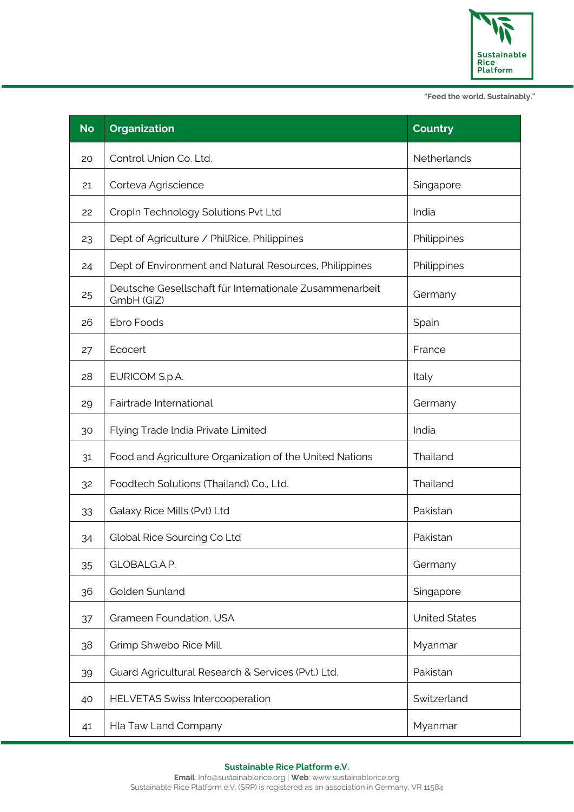

| <b>No</b> | <b>Organization</b>                                                   | <b>Country</b>       |
|-----------|-----------------------------------------------------------------------|----------------------|
| 20        | Control Union Co. Ltd.                                                | Netherlands          |
| 21        | Corteva Agriscience                                                   | Singapore            |
| 22        | CropIn Technology Solutions Pvt Ltd                                   | India                |
| 23        | Dept of Agriculture / PhilRice, Philippines                           | Philippines          |
| 24        | Dept of Environment and Natural Resources, Philippines                | Philippines          |
| 25        | Deutsche Gesellschaft für Internationale Zusammenarbeit<br>GmbH (GIZ) | Germany              |
| 26        | Ebro Foods                                                            | Spain                |
| 27        | Ecocert                                                               | France               |
| 28        | EURICOM S.p.A.                                                        | Italy                |
| 29        | Fairtrade International                                               | Germany              |
| 30        | Flying Trade India Private Limited                                    | India                |
| 31        | Food and Agriculture Organization of the United Nations               | Thailand             |
| 32        | Foodtech Solutions (Thailand) Co., Ltd.                               | Thailand             |
| 33        | Galaxy Rice Mills (Pvt) Ltd                                           | Pakistan             |
| 34        | Global Rice Sourcing Co Ltd                                           | Pakistan             |
| 35        | GLOBALG.A.P.                                                          | Germany              |
| 36        | Golden Sunland                                                        | Singapore            |
| 37        | Grameen Foundation, USA                                               | <b>United States</b> |
| 38        | Grimp Shwebo Rice Mill                                                | Myanmar              |
| 39        | Guard Agricultural Research & Services (Pvt.) Ltd.                    | Pakistan             |
| 40        | <b>HELVETAS Swiss Intercooperation</b>                                | Switzerland          |
| 41        | Hla Taw Land Company                                                  | Myanmar              |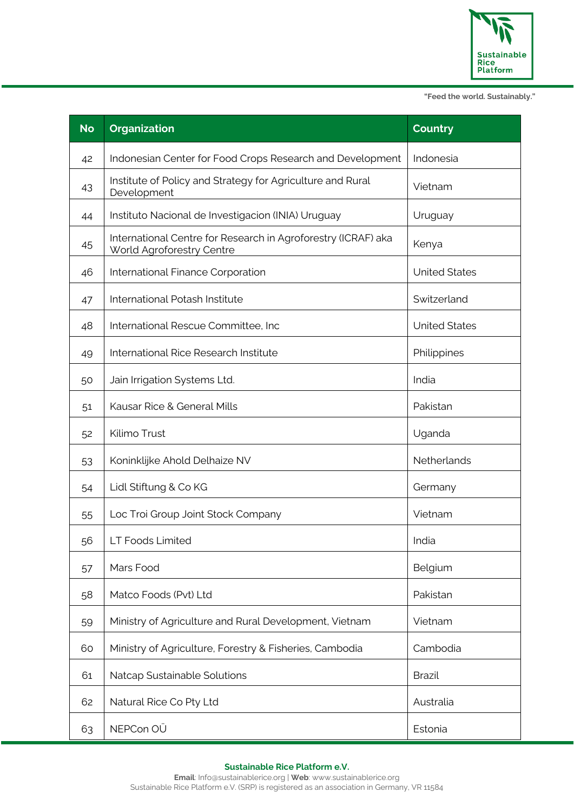

| <b>No</b> | <b>Organization</b>                                                                        | <b>Country</b>       |
|-----------|--------------------------------------------------------------------------------------------|----------------------|
| 42        | Indonesian Center for Food Crops Research and Development                                  | Indonesia            |
| 43        | Institute of Policy and Strategy for Agriculture and Rural<br>Development                  | Vietnam              |
| 44        | Instituto Nacional de Investigacion (INIA) Uruguay                                         | Uruguay              |
| 45        | International Centre for Research in Agroforestry (ICRAF) aka<br>World Agroforestry Centre | Kenya                |
| 46        | International Finance Corporation                                                          | <b>United States</b> |
| 47        | International Potash Institute                                                             | Switzerland          |
| 48        | International Rescue Committee, Inc                                                        | <b>United States</b> |
| 49        | International Rice Research Institute                                                      | Philippines          |
| 50        | Jain Irrigation Systems Ltd.                                                               | India                |
| 51        | Kausar Rice & General Mills                                                                | Pakistan             |
| 52        | Kilimo Trust                                                                               | Uganda               |
| 53        | Koninklijke Ahold Delhaize NV                                                              | Netherlands          |
| 54        | Lidl Stiftung & Co KG                                                                      | Germany              |
| 55        | Loc Troi Group Joint Stock Company                                                         | Vietnam              |
| 56        | LT Foods Limited                                                                           | India                |
| 57        | Mars Food                                                                                  | Belgium              |
| 58        | Matco Foods (Pvt) Ltd                                                                      | Pakistan             |
| 59        | Ministry of Agriculture and Rural Development, Vietnam                                     | Vietnam              |
| 60        | Ministry of Agriculture, Forestry & Fisheries, Cambodia                                    | Cambodia             |
| 61        | Natcap Sustainable Solutions                                                               | <b>Brazil</b>        |
| 62        | Natural Rice Co Pty Ltd                                                                    | Australia            |
| 63        | NEPCon OU                                                                                  | Estonia              |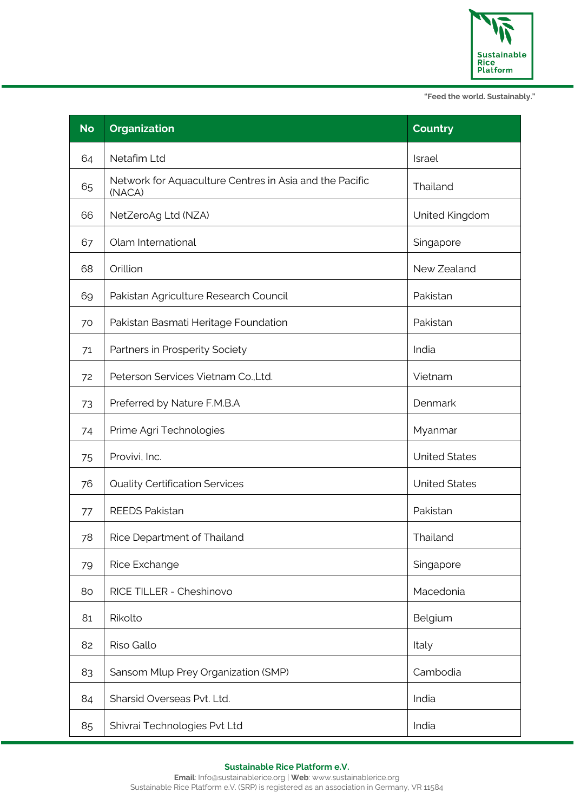

| <b>No</b> | <b>Organization</b>                                               | <b>Country</b>       |
|-----------|-------------------------------------------------------------------|----------------------|
| 64        | Netafim Ltd                                                       | Israel               |
| 65        | Network for Aquaculture Centres in Asia and the Pacific<br>(NACA) | Thailand             |
| 66        | NetZeroAg Ltd (NZA)                                               | United Kingdom       |
| 67        | Olam International                                                | Singapore            |
| 68        | Orillion                                                          | New Zealand          |
| 69        | Pakistan Agriculture Research Council                             | Pakistan             |
| 70        | Pakistan Basmati Heritage Foundation                              | Pakistan             |
| 71        | Partners in Prosperity Society                                    | India                |
| 72        | Peterson Services Vietnam Co., Ltd.                               | Vietnam              |
| 73        | Preferred by Nature F.M.B.A                                       | Denmark              |
| 74        | Prime Agri Technologies                                           | Myanmar              |
| 75        | Provivi, Inc.                                                     | <b>United States</b> |
| 76        | <b>Quality Certification Services</b>                             | <b>United States</b> |
| 77        | <b>REEDS Pakistan</b>                                             | Pakistan             |
| 78        | Rice Department of Thailand                                       | Thailand             |
| 79        | Rice Exchange                                                     | Singapore            |
| 80        | RICE TILLER - Cheshinovo                                          | Macedonia            |
| 81        | Rikolto                                                           | Belgium              |
| 82        | Riso Gallo                                                        | Italy                |
| 83        | Sansom Mlup Prey Organization (SMP)                               | Cambodia             |
| 84        | Sharsid Overseas Pvt. Ltd.                                        | India                |
| 85        | Shivrai Technologies Pvt Ltd                                      | India                |